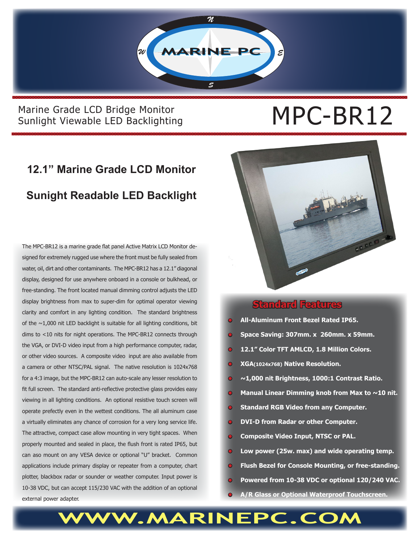

**WWW.MARINEPC.COM**

#### Marine Grade LCD Bridge Monitor<br>Sunlight Viewable LED Backlighting<br> $MPC-BR12$ Sunlight Viewable LED Backlighting

## **12.1" Marine Grade LCD Monitor Sunight Readable LED Backlight**

The MPC-BR12 is a marine grade flat panel Active Matrix LCD Monitor designed for extremely rugged use where the front must be fully sealed from water, oil, dirt and other contaminants. The MPC-BR12 has a 12.1" diagonal display, designed for use anywhere onboard in a console or bulkhead, or free-standing. The front located manual dimming control adjusts the LED display brightness from max to super-dim for optimal operator viewing clarity and comfort in any lighting condition. The standard brightness of the  $\sim$ 1,000 nit LED backlight is suitable for all lighting conditions, bit dims to <10 nits for night operations. The MPC-BR12 connects through the VGA, or DVI-D video input from a high performance computer, radar, or other video sources. A composite video input are also available from a camera or other NTSC/PAL signal. The native resolution is 1024x768 for a 4:3 image, but the MPC-BR12 can auto-scale any lesser resolution to fit full screen. The standard anti-reflective protective glass provides easy viewing in all lighting conditions. An optional resistive touch screen will operate prefectly even in the wettest conditions. The all aluminum case a virtually eliminates any chance of corrosion for a very long service life. The attractive, compact case allow mounting in very tight spaces. When properly mounted and sealed in place, the flush front is rated IP65, but can aso mount on any VESA device or optional "U" bracket. Common applications include primary display or repeater from a computer, chart plotter, blackbox radar or sounder or weather computer. Input power is 10-38 VDC, but can accept 115/230 VAC with the addition of an optional external power adapter.



#### **Standard Features**

- **• All-Aluminum Front Bezel Rated IP65.**
- **• Space Saving: 307mm. x 260mm. x 59mm.**
- **• 12.1" Color TFT AMLCD, 1.8 Million Colors.**
- **• XGA(1024x768) Native Resolution.**
- **~1,000 nit Brightness, 1000:1 Contrast Ratio.**
- **Manual Linear Dimming knob from Max to ~10 nit.**
- **• Standard RGB Video from any Computer.**
- **• DVI-D from Radar or other Computer.**
- **• Composite Video Input, NTSC or PAL.**
- **• Low power (25w. max) and wide operating temp.**
- **• Flush Bezel for Console Mounting, or free-standing.**
- **• Powered from 10-38 VDC or optional 120/240 VAC.**
- **• A/R Glass or Optional Waterproof Touchscreen.**